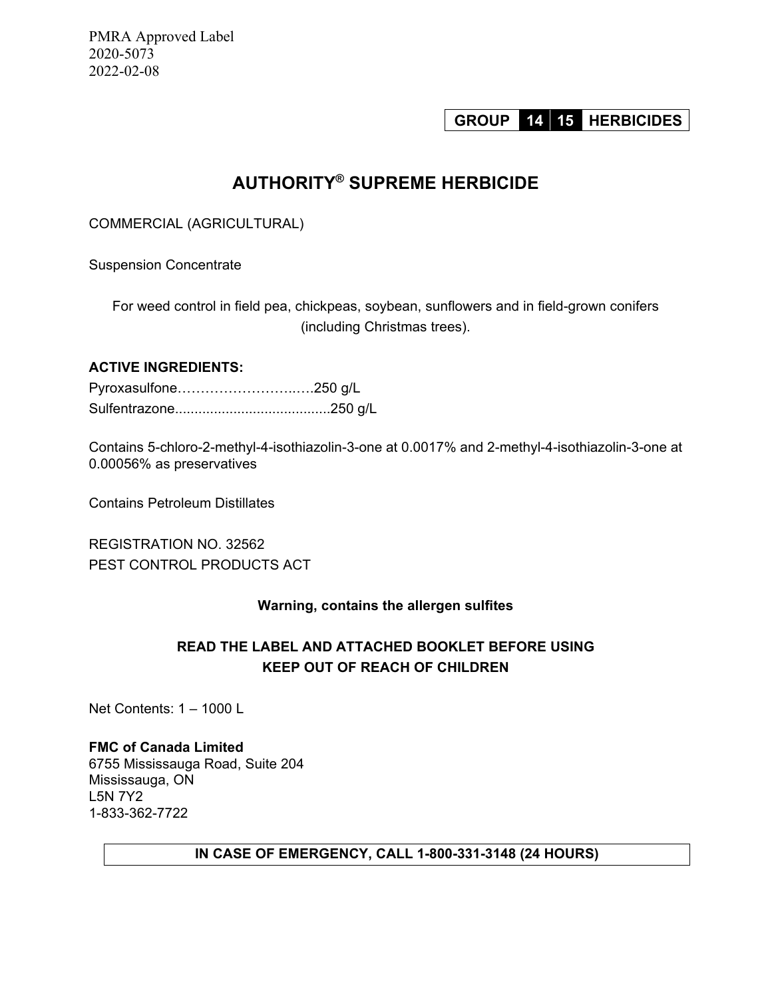PMRA Approved Label 2020-5073 2022-02-08

# **GROUP 14 15 HERBICIDES**

# **AUTHORITY® SUPREME HERBICIDE**

COMMERCIAL (AGRICULTURAL)

Suspension Concentrate

For weed control in field pea, chickpeas, soybean, sunflowers and in field-grown conifers (including Christmas trees).

# **ACTIVE INGREDIENTS:**

| Pyroxasulfone250 g/L |  |
|----------------------|--|
|                      |  |

Contains 5-chloro-2-methyl-4-isothiazolin-3-one at 0.0017% and 2-methyl-4-isothiazolin-3-one at 0.00056% as preservatives

Contains Petroleum Distillates

REGISTRATION NO. 32562 PEST CONTROL PRODUCTS ACT

# **Warning, contains the allergen sulfites**

# **READ THE LABEL AND ATTACHED BOOKLET BEFORE USING KEEP OUT OF REACH OF CHILDREN**

Net Contents: 1 – 1000 L

**FMC of Canada Limited**  6755 Mississauga Road, Suite 204 Mississauga, ON L5N 7Y2 1-833-362-7722

# **IN CASE OF EMERGENCY, CALL 1-800-331-3148 (24 HOURS)**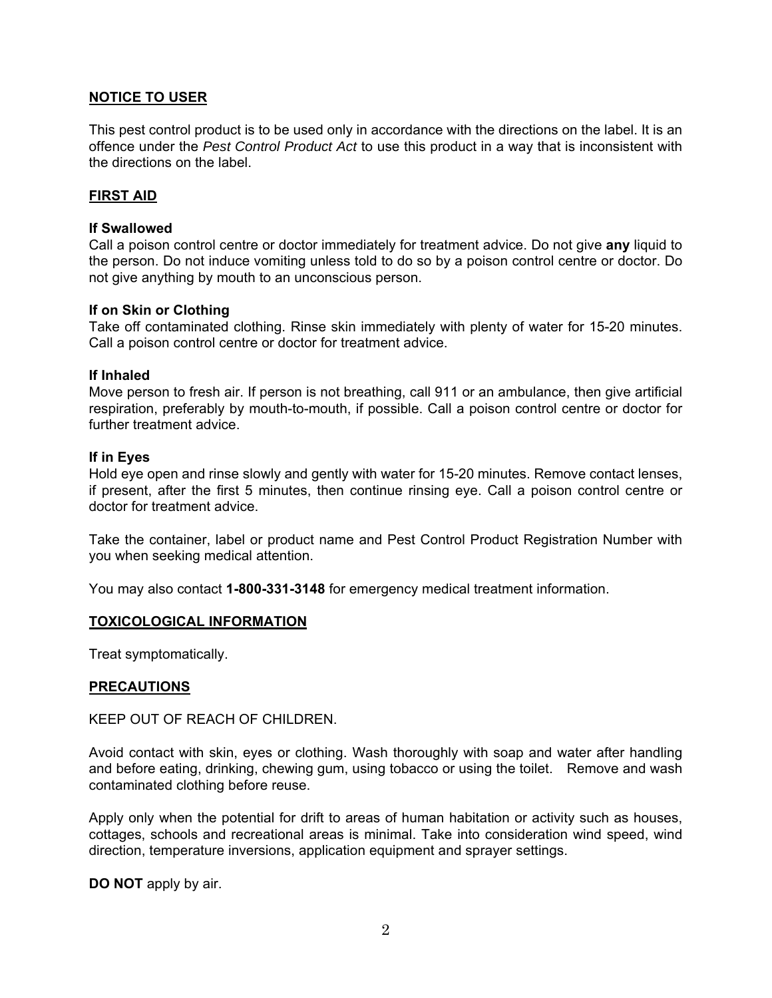# **NOTICE TO USER**

This pest control product is to be used only in accordance with the directions on the label. It is an offence under the *Pest Control Product Act* to use this product in a way that is inconsistent with the directions on the label.

#### **FIRST AID**

#### **If Swallowed**

Call a poison control centre or doctor immediately for treatment advice. Do not give **any** liquid to the person. Do not induce vomiting unless told to do so by a poison control centre or doctor. Do not give anything by mouth to an unconscious person.

#### **If on Skin or Clothing**

Take off contaminated clothing. Rinse skin immediately with plenty of water for 15-20 minutes. Call a poison control centre or doctor for treatment advice.

#### **If Inhaled**

Move person to fresh air. If person is not breathing, call 911 or an ambulance, then give artificial respiration, preferably by mouth-to-mouth, if possible. Call a poison control centre or doctor for further treatment advice.

#### **If in Eyes**

Hold eye open and rinse slowly and gently with water for 15-20 minutes. Remove contact lenses, if present, after the first 5 minutes, then continue rinsing eye. Call a poison control centre or doctor for treatment advice.

Take the container, label or product name and Pest Control Product Registration Number with you when seeking medical attention.

You may also contact **1-800-331-3148** for emergency medical treatment information.

#### **TOXICOLOGICAL INFORMATION**

Treat symptomatically.

#### **PRECAUTIONS**

KEEP OUT OF REACH OF CHILDREN.

Avoid contact with skin, eyes or clothing. Wash thoroughly with soap and water after handling and before eating, drinking, chewing gum, using tobacco or using the toilet. Remove and wash contaminated clothing before reuse.

Apply only when the potential for drift to areas of human habitation or activity such as houses, cottages, schools and recreational areas is minimal. Take into consideration wind speed, wind direction, temperature inversions, application equipment and sprayer settings.

**DO NOT** apply by air.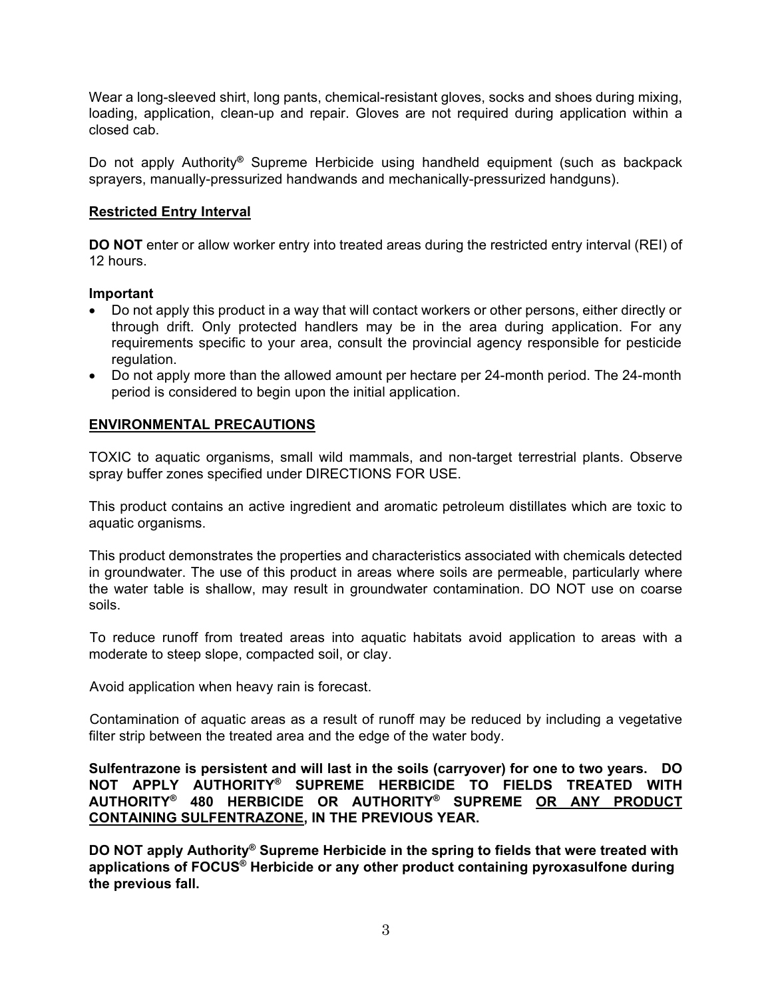Wear a long-sleeved shirt, long pants, chemical-resistant gloves, socks and shoes during mixing, loading, application, clean-up and repair. Gloves are not required during application within a closed cab.

Do not apply Authority**®** Supreme Herbicide using handheld equipment (such as backpack sprayers, manually-pressurized handwands and mechanically-pressurized handguns).

# **Restricted Entry Interval**

**DO NOT** enter or allow worker entry into treated areas during the restricted entry interval (REI) of 12 hours.

# **Important**

- Do not apply this product in a way that will contact workers or other persons, either directly or through drift. Only protected handlers may be in the area during application. For any requirements specific to your area, consult the provincial agency responsible for pesticide regulation.
- Do not apply more than the allowed amount per hectare per 24-month period. The 24-month period is considered to begin upon the initial application.

# **ENVIRONMENTAL PRECAUTIONS**

TOXIC to aquatic organisms, small wild mammals, and non-target terrestrial plants. Observe spray buffer zones specified under DIRECTIONS FOR USE.

This product contains an active ingredient and aromatic petroleum distillates which are toxic to aquatic organisms.

This product demonstrates the properties and characteristics associated with chemicals detected in groundwater. The use of this product in areas where soils are permeable, particularly where the water table is shallow, may result in groundwater contamination. DO NOT use on coarse soils.

To reduce runoff from treated areas into aquatic habitats avoid application to areas with a moderate to steep slope, compacted soil, or clay.

Avoid application when heavy rain is forecast.

Contamination of aquatic areas as a result of runoff may be reduced by including a vegetative filter strip between the treated area and the edge of the water body.

**Sulfentrazone is persistent and will last in the soils (carryover) for one to two years. DO NOT APPLY AUTHORITY® SUPREME HERBICIDE TO FIELDS TREATED WITH AUTHORITY® 480 HERBICIDE OR AUTHORITY® SUPREME OR ANY PRODUCT CONTAINING SULFENTRAZONE, IN THE PREVIOUS YEAR.** 

**DO NOT apply Authority® Supreme Herbicide in the spring to fields that were treated with applications of FOCUS® Herbicide or any other product containing pyroxasulfone during the previous fall.**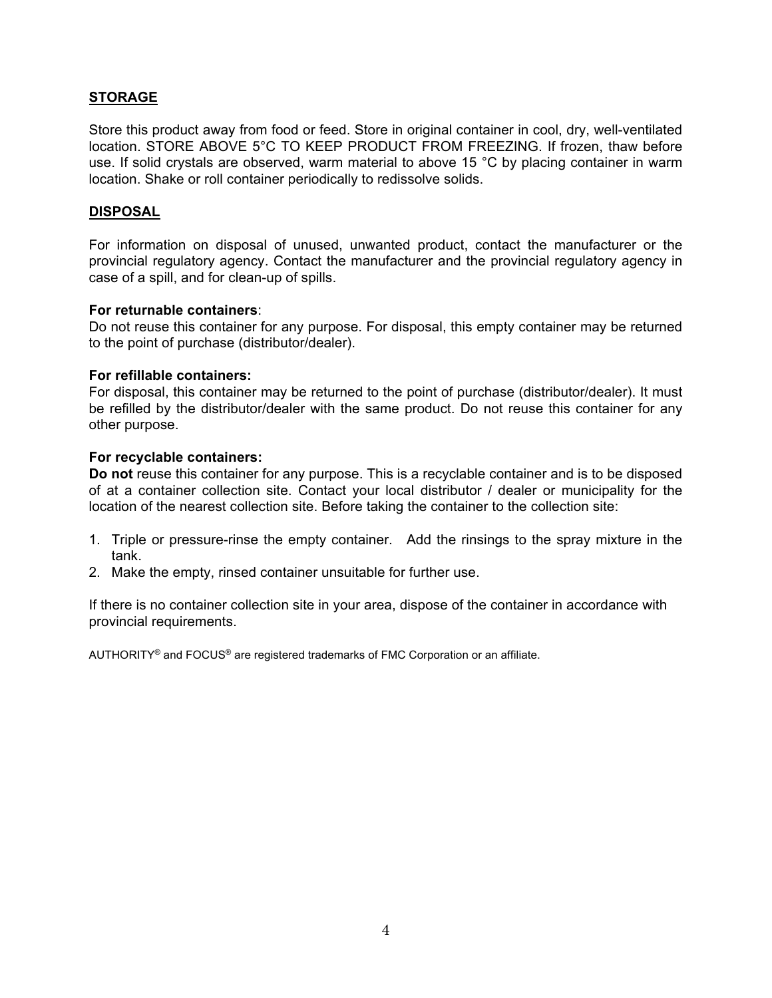# **STORAGE**

Store this product away from food or feed. Store in original container in cool, dry, well-ventilated location. STORE ABOVE 5°C TO KEEP PRODUCT FROM FREEZING. If frozen, thaw before use. If solid crystals are observed, warm material to above 15 °C by placing container in warm location. Shake or roll container periodically to redissolve solids.

#### **DISPOSAL**

For information on disposal of unused, unwanted product, contact the manufacturer or the provincial regulatory agency. Contact the manufacturer and the provincial regulatory agency in case of a spill, and for clean-up of spills.

#### **For returnable containers**:

Do not reuse this container for any purpose. For disposal, this empty container may be returned to the point of purchase (distributor/dealer).

#### **For refillable containers:**

For disposal, this container may be returned to the point of purchase (distributor/dealer). It must be refilled by the distributor/dealer with the same product. Do not reuse this container for any other purpose.

#### **For recyclable containers:**

**Do not** reuse this container for any purpose. This is a recyclable container and is to be disposed of at a container collection site. Contact your local distributor / dealer or municipality for the location of the nearest collection site. Before taking the container to the collection site:

- 1. Triple or pressure-rinse the empty container. Add the rinsings to the spray mixture in the tank.
- 2. Make the empty, rinsed container unsuitable for further use.

If there is no container collection site in your area, dispose of the container in accordance with provincial requirements.

AUTHORITY® and FOCUS® are registered trademarks of FMC Corporation or an affiliate.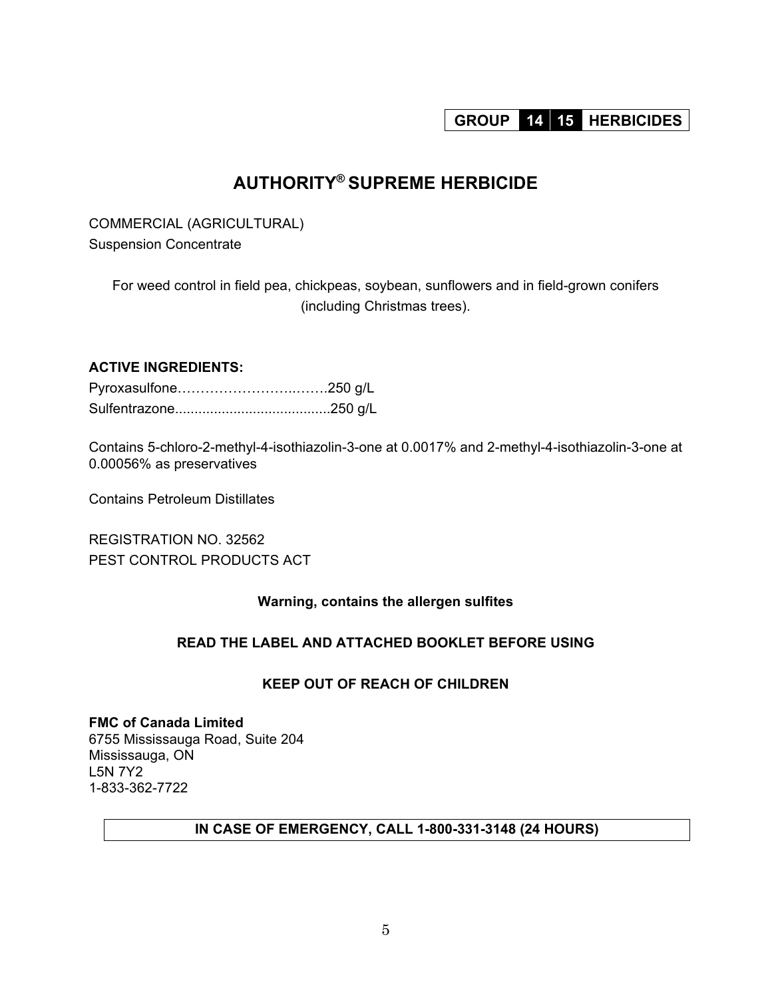# **GROUP 14 15 HERBICIDES**

# **AUTHORITY® SUPREME HERBICIDE**

COMMERCIAL (AGRICULTURAL) Suspension Concentrate

For weed control in field pea, chickpeas, soybean, sunflowers and in field-grown conifers (including Christmas trees).

# **ACTIVE INGREDIENTS:**

Contains 5-chloro-2-methyl-4-isothiazolin-3-one at 0.0017% and 2-methyl-4-isothiazolin-3-one at 0.00056% as preservatives

Contains Petroleum Distillates

REGISTRATION NO. 32562 PEST CONTROL PRODUCTS ACT

# **Warning, contains the allergen sulfites**

# **READ THE LABEL AND ATTACHED BOOKLET BEFORE USING**

# **KEEP OUT OF REACH OF CHILDREN**

**FMC of Canada Limited**  6755 Mississauga Road, Suite 204 Mississauga, ON L5N 7Y2 1-833-362-7722

# **IN CASE OF EMERGENCY, CALL 1-800-331-3148 (24 HOURS)**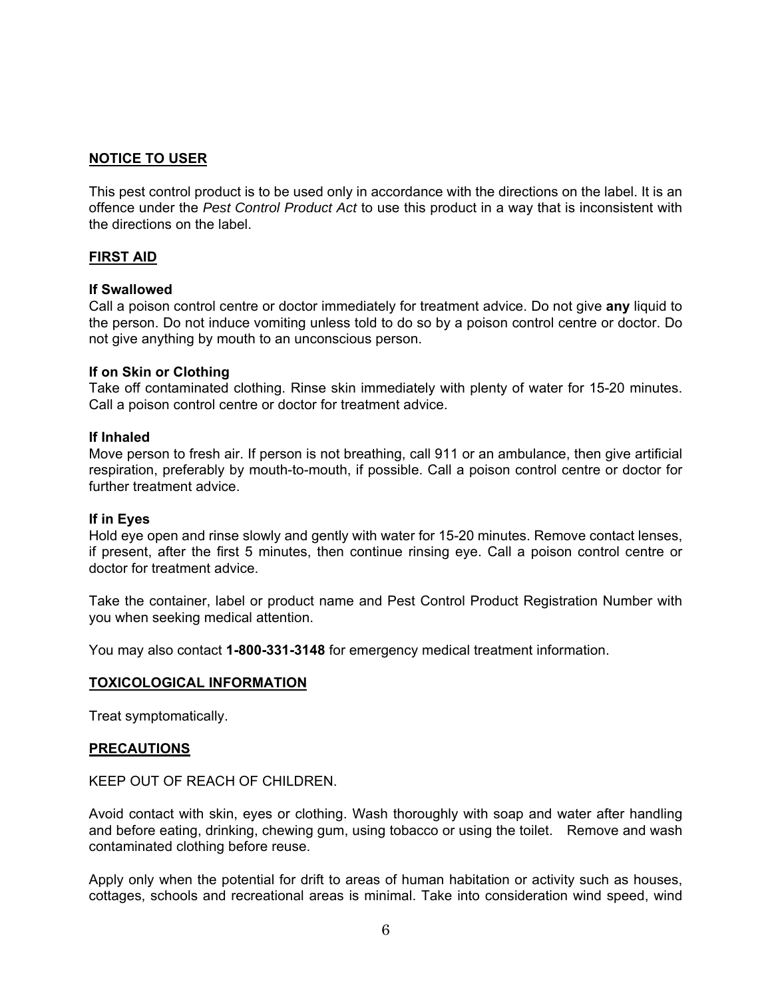# **NOTICE TO USER**

This pest control product is to be used only in accordance with the directions on the label. It is an offence under the *Pest Control Product Act* to use this product in a way that is inconsistent with the directions on the label.

#### **FIRST AID**

#### **If Swallowed**

Call a poison control centre or doctor immediately for treatment advice. Do not give **any** liquid to the person. Do not induce vomiting unless told to do so by a poison control centre or doctor. Do not give anything by mouth to an unconscious person.

#### **If on Skin or Clothing**

Take off contaminated clothing. Rinse skin immediately with plenty of water for 15-20 minutes. Call a poison control centre or doctor for treatment advice.

#### **If Inhaled**

Move person to fresh air. If person is not breathing, call 911 or an ambulance, then give artificial respiration, preferably by mouth-to-mouth, if possible. Call a poison control centre or doctor for further treatment advice.

#### **If in Eyes**

Hold eye open and rinse slowly and gently with water for 15-20 minutes. Remove contact lenses, if present, after the first 5 minutes, then continue rinsing eye. Call a poison control centre or doctor for treatment advice.

Take the container, label or product name and Pest Control Product Registration Number with you when seeking medical attention.

You may also contact **1-800-331-3148** for emergency medical treatment information.

#### **TOXICOLOGICAL INFORMATION**

Treat symptomatically.

#### **PRECAUTIONS**

KEEP OUT OF REACH OF CHILDREN.

Avoid contact with skin, eyes or clothing. Wash thoroughly with soap and water after handling and before eating, drinking, chewing gum, using tobacco or using the toilet. Remove and wash contaminated clothing before reuse.

Apply only when the potential for drift to areas of human habitation or activity such as houses, cottages, schools and recreational areas is minimal. Take into consideration wind speed, wind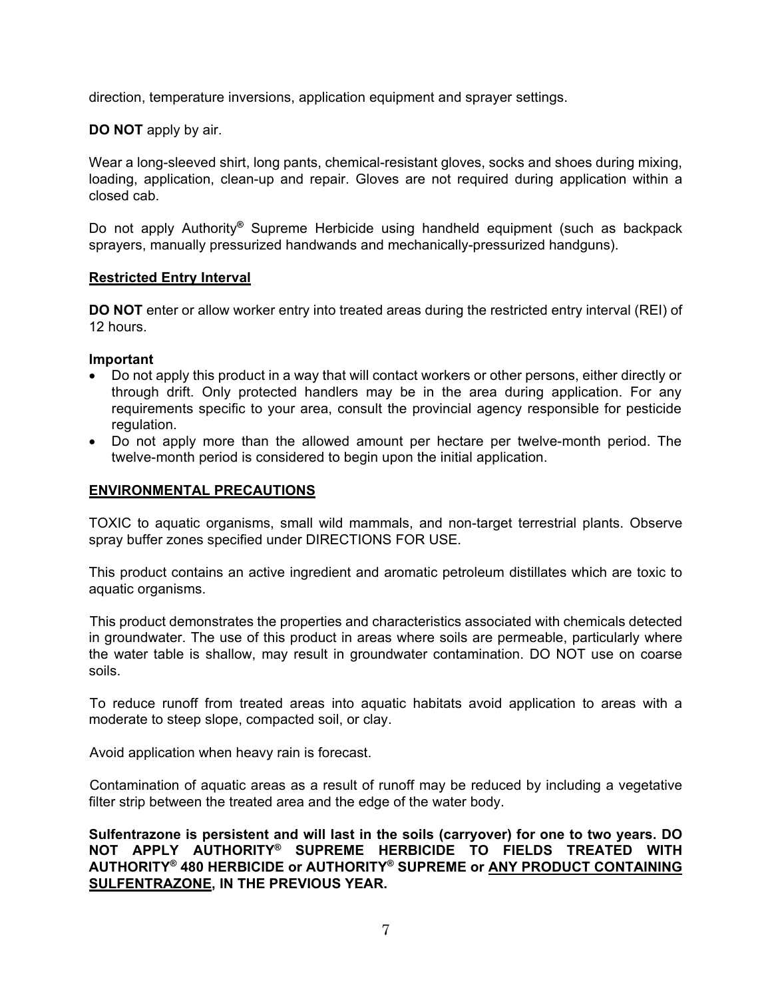direction, temperature inversions, application equipment and sprayer settings.

**DO NOT** apply by air.

Wear a long-sleeved shirt, long pants, chemical-resistant gloves, socks and shoes during mixing, loading, application, clean-up and repair. Gloves are not required during application within a closed cab.

Do not apply Authority**®** Supreme Herbicide using handheld equipment (such as backpack sprayers, manually pressurized handwands and mechanically-pressurized handguns).

#### **Restricted Entry Interval**

**DO NOT** enter or allow worker entry into treated areas during the restricted entry interval (REI) of 12 hours.

#### **Important**

- Do not apply this product in a way that will contact workers or other persons, either directly or through drift. Only protected handlers may be in the area during application. For any requirements specific to your area, consult the provincial agency responsible for pesticide regulation.
- Do not apply more than the allowed amount per hectare per twelve-month period. The twelve-month period is considered to begin upon the initial application.

#### **ENVIRONMENTAL PRECAUTIONS**

TOXIC to aquatic organisms, small wild mammals, and non-target terrestrial plants. Observe spray buffer zones specified under DIRECTIONS FOR USE.

This product contains an active ingredient and aromatic petroleum distillates which are toxic to aquatic organisms.

This product demonstrates the properties and characteristics associated with chemicals detected in groundwater. The use of this product in areas where soils are permeable, particularly where the water table is shallow, may result in groundwater contamination. DO NOT use on coarse soils.

To reduce runoff from treated areas into aquatic habitats avoid application to areas with a moderate to steep slope, compacted soil, or clay.

Avoid application when heavy rain is forecast.

Contamination of aquatic areas as a result of runoff may be reduced by including a vegetative filter strip between the treated area and the edge of the water body.

**Sulfentrazone is persistent and will last in the soils (carryover) for one to two years. DO NOT APPLY AUTHORITY® SUPREME HERBICIDE TO FIELDS TREATED WITH AUTHORITY® 480 HERBICIDE or AUTHORITY® SUPREME or ANY PRODUCT CONTAINING SULFENTRAZONE, IN THE PREVIOUS YEAR.**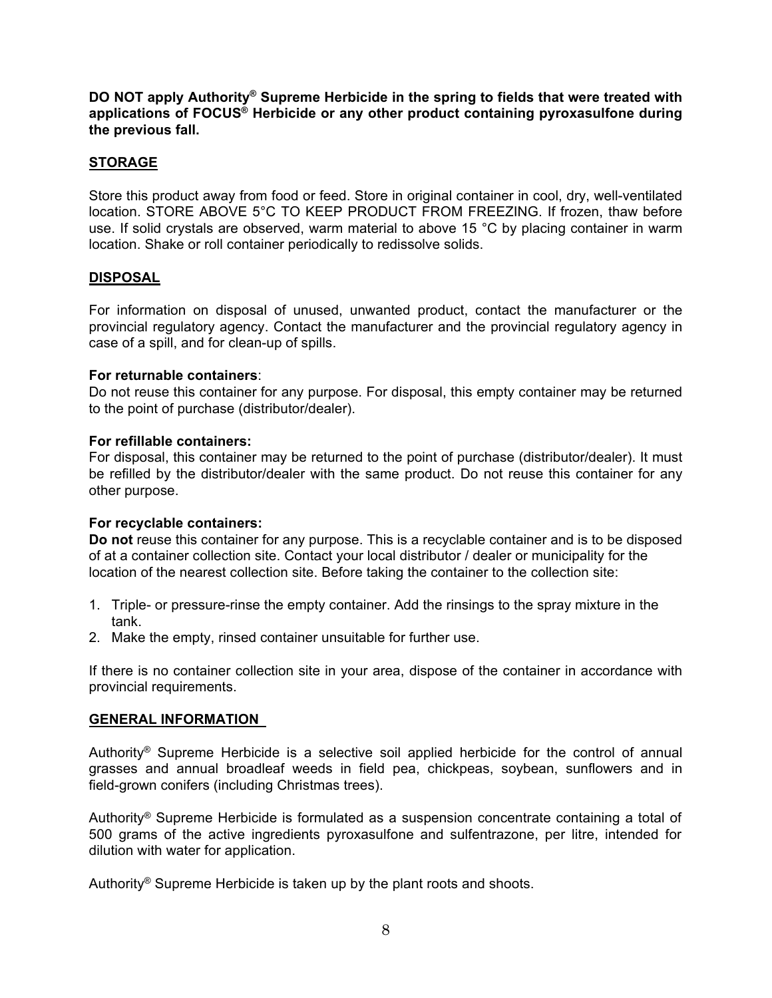**DO NOT apply Authority® Supreme Herbicide in the spring to fields that were treated with applications of FOCUS® Herbicide or any other product containing pyroxasulfone during the previous fall.** 

# **STORAGE**

Store this product away from food or feed. Store in original container in cool, dry, well-ventilated location. STORE ABOVE 5°C TO KEEP PRODUCT FROM FREEZING. If frozen, thaw before use. If solid crystals are observed, warm material to above 15 °C by placing container in warm location. Shake or roll container periodically to redissolve solids.

# **DISPOSAL**

For information on disposal of unused, unwanted product, contact the manufacturer or the provincial regulatory agency. Contact the manufacturer and the provincial regulatory agency in case of a spill, and for clean-up of spills.

#### **For returnable containers**:

Do not reuse this container for any purpose. For disposal, this empty container may be returned to the point of purchase (distributor/dealer).

#### **For refillable containers:**

For disposal, this container may be returned to the point of purchase (distributor/dealer). It must be refilled by the distributor/dealer with the same product. Do not reuse this container for any other purpose.

# **For recyclable containers:**

**Do not** reuse this container for any purpose. This is a recyclable container and is to be disposed of at a container collection site. Contact your local distributor / dealer or municipality for the location of the nearest collection site. Before taking the container to the collection site:

- 1. Triple- or pressure-rinse the empty container. Add the rinsings to the spray mixture in the tank.
- 2. Make the empty, rinsed container unsuitable for further use.

If there is no container collection site in your area, dispose of the container in accordance with provincial requirements.

# **GENERAL INFORMATION**

Authority® Supreme Herbicide is a selective soil applied herbicide for the control of annual grasses and annual broadleaf weeds in field pea, chickpeas, soybean, sunflowers and in field-grown conifers (including Christmas trees).

Authority® Supreme Herbicide is formulated as a suspension concentrate containing a total of 500 grams of the active ingredients pyroxasulfone and sulfentrazone, per litre, intended for dilution with water for application.

Authority® Supreme Herbicide is taken up by the plant roots and shoots.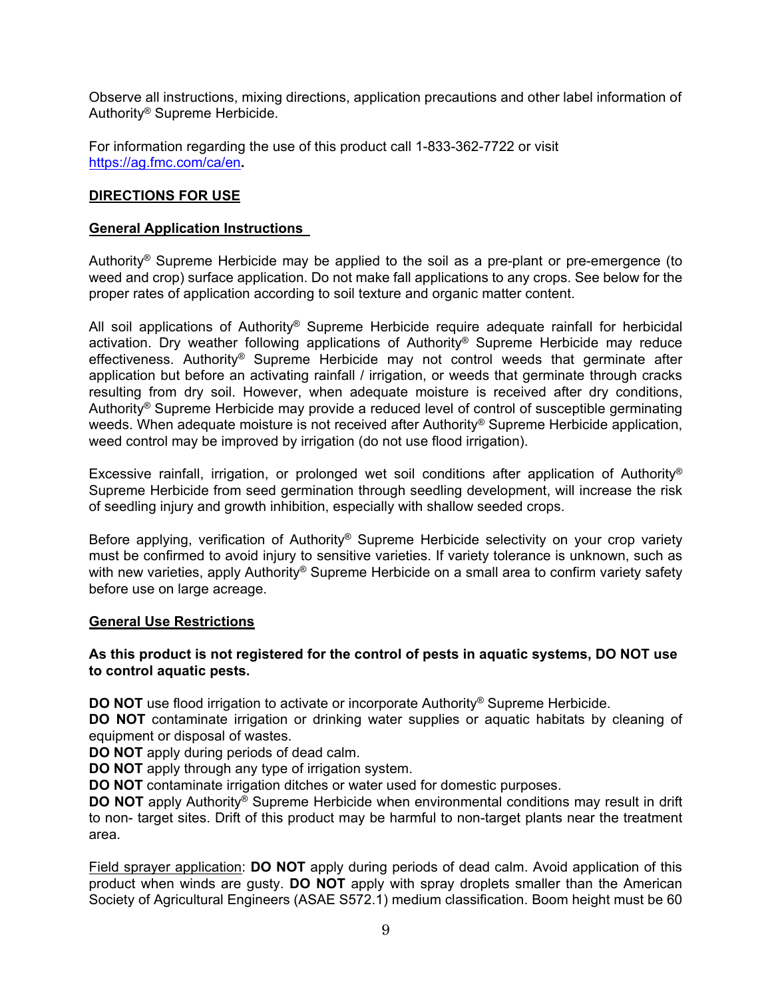Observe all instructions, mixing directions, application precautions and other label information of Authority® Supreme Herbicide.

For information regarding the use of this product call 1-833-362-7722 or visit https://ag.fmc.com/ca/en**.**

#### **DIRECTIONS FOR USE**

#### **General Application Instructions**

Authority® Supreme Herbicide may be applied to the soil as a pre-plant or pre-emergence (to weed and crop) surface application. Do not make fall applications to any crops. See below for the proper rates of application according to soil texture and organic matter content.

All soil applications of Authority® Supreme Herbicide require adequate rainfall for herbicidal activation. Dry weather following applications of Authority® Supreme Herbicide may reduce effectiveness. Authority® Supreme Herbicide may not control weeds that germinate after application but before an activating rainfall / irrigation, or weeds that germinate through cracks resulting from dry soil. However, when adequate moisture is received after dry conditions, Authority® Supreme Herbicide may provide a reduced level of control of susceptible germinating weeds. When adequate moisture is not received after Authority<sup>®</sup> Supreme Herbicide application, weed control may be improved by irrigation (do not use flood irrigation).

Excessive rainfall, irrigation, or prolonged wet soil conditions after application of Authority® Supreme Herbicide from seed germination through seedling development, will increase the risk of seedling injury and growth inhibition, especially with shallow seeded crops.

Before applying, verification of Authority<sup>®</sup> Supreme Herbicide selectivity on your crop variety must be confirmed to avoid injury to sensitive varieties. If variety tolerance is unknown, such as with new varieties, apply Authority® Supreme Herbicide on a small area to confirm variety safety before use on large acreage.

#### **General Use Restrictions**

# **As this product is not registered for the control of pests in aquatic systems, DO NOT use to control aquatic pests.**

**DO NOT** use flood irrigation to activate or incorporate Authority<sup>®</sup> Supreme Herbicide.

**DO NOT** contaminate irrigation or drinking water supplies or aquatic habitats by cleaning of equipment or disposal of wastes.

**DO NOT** apply during periods of dead calm.

**DO NOT** apply through any type of irrigation system.

**DO NOT** contaminate irrigation ditches or water used for domestic purposes.

**DO NOT** apply Authority<sup>®</sup> Supreme Herbicide when environmental conditions may result in drift to non- target sites. Drift of this product may be harmful to non-target plants near the treatment area.

Field sprayer application: **DO NOT** apply during periods of dead calm. Avoid application of this product when winds are gusty. **DO NOT** apply with spray droplets smaller than the American Society of Agricultural Engineers (ASAE S572.1) medium classification. Boom height must be 60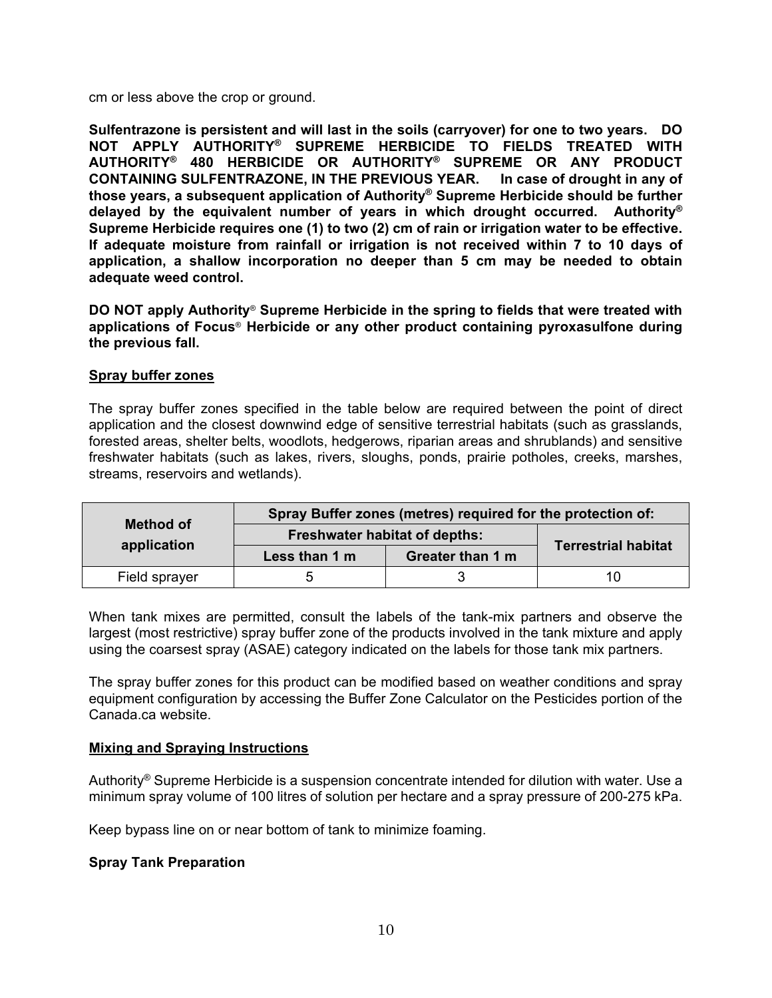cm or less above the crop or ground.

**Sulfentrazone is persistent and will last in the soils (carryover) for one to two years. DO NOT APPLY AUTHORITY® SUPREME HERBICIDE TO FIELDS TREATED WITH AUTHORITY® 480 HERBICIDE OR AUTHORITY® SUPREME OR ANY PRODUCT CONTAINING SULFENTRAZONE, IN THE PREVIOUS YEAR. In case of drought in any of those years, a subsequent application of Authority® Supreme Herbicide should be further delayed by the equivalent number of years in which drought occurred. Authority® Supreme Herbicide requires one (1) to two (2) cm of rain or irrigation water to be effective. If adequate moisture from rainfall or irrigation is not received within 7 to 10 days of application, a shallow incorporation no deeper than 5 cm may be needed to obtain adequate weed control.** 

**DO NOT apply Authority**® **Supreme Herbicide in the spring to fields that were treated with applications of Focus**® **Herbicide or any other product containing pyroxasulfone during the previous fall.** 

#### **Spray buffer zones**

The spray buffer zones specified in the table below are required between the point of direct application and the closest downwind edge of sensitive terrestrial habitats (such as grasslands, forested areas, shelter belts, woodlots, hedgerows, riparian areas and shrublands) and sensitive freshwater habitats (such as lakes, rivers, sloughs, ponds, prairie potholes, creeks, marshes, streams, reservoirs and wetlands).

|                  |                                      | Spray Buffer zones (metres) required for the protection of: |                            |  |
|------------------|--------------------------------------|-------------------------------------------------------------|----------------------------|--|
| <b>Method of</b> | <b>Freshwater habitat of depths:</b> |                                                             |                            |  |
| application      | Less than 1 m                        | Greater than 1 m                                            | <b>Terrestrial habitat</b> |  |
| Field sprayer    | $\ddot{\phantom{1}}$                 |                                                             | 10                         |  |

When tank mixes are permitted, consult the labels of the tank-mix partners and observe the largest (most restrictive) spray buffer zone of the products involved in the tank mixture and apply using the coarsest spray (ASAE) category indicated on the labels for those tank mix partners.

The spray buffer zones for this product can be modified based on weather conditions and spray equipment configuration by accessing the Buffer Zone Calculator on the Pesticides portion of the Canada.ca website.

# **Mixing and Spraying Instructions**

Authority® Supreme Herbicide is a suspension concentrate intended for dilution with water. Use a minimum spray volume of 100 litres of solution per hectare and a spray pressure of 200-275 kPa.

Keep bypass line on or near bottom of tank to minimize foaming.

# **Spray Tank Preparation**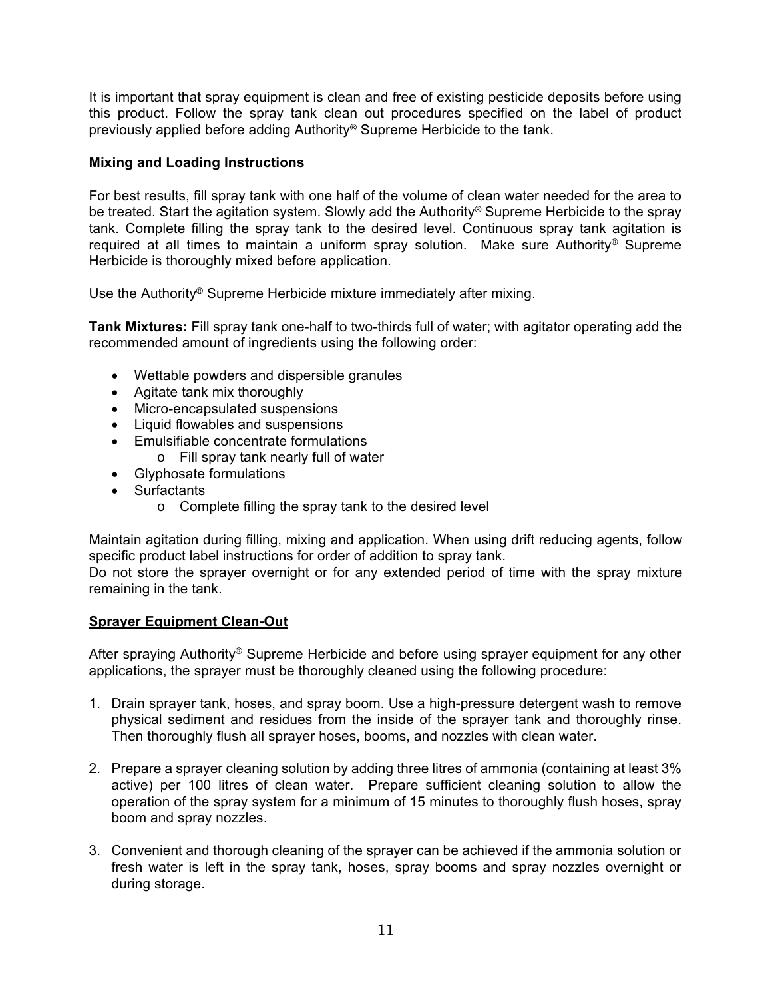It is important that spray equipment is clean and free of existing pesticide deposits before using this product. Follow the spray tank clean out procedures specified on the label of product previously applied before adding Authority® Supreme Herbicide to the tank.

# **Mixing and Loading Instructions**

For best results, fill spray tank with one half of the volume of clean water needed for the area to be treated. Start the agitation system. Slowly add the Authority® Supreme Herbicide to the spray tank. Complete filling the spray tank to the desired level. Continuous spray tank agitation is required at all times to maintain a uniform spray solution. Make sure Authority® Supreme Herbicide is thoroughly mixed before application.

Use the Authority® Supreme Herbicide mixture immediately after mixing.

**Tank Mixtures:** Fill spray tank one-half to two-thirds full of water; with agitator operating add the recommended amount of ingredients using the following order:

- Wettable powders and dispersible granules
- Agitate tank mix thoroughly
- Micro-encapsulated suspensions
- Liquid flowables and suspensions
- Emulsifiable concentrate formulations
	- o Fill spray tank nearly full of water
- Glyphosate formulations
- Surfactants
	- o Complete filling the spray tank to the desired level

Maintain agitation during filling, mixing and application. When using drift reducing agents, follow specific product label instructions for order of addition to spray tank.

Do not store the sprayer overnight or for any extended period of time with the spray mixture remaining in the tank.

# **Sprayer Equipment Clean-Out**

After spraying Authority® Supreme Herbicide and before using sprayer equipment for any other applications, the sprayer must be thoroughly cleaned using the following procedure:

- 1. Drain sprayer tank, hoses, and spray boom. Use a high-pressure detergent wash to remove physical sediment and residues from the inside of the sprayer tank and thoroughly rinse. Then thoroughly flush all sprayer hoses, booms, and nozzles with clean water.
- 2. Prepare a sprayer cleaning solution by adding three litres of ammonia (containing at least 3% active) per 100 litres of clean water. Prepare sufficient cleaning solution to allow the operation of the spray system for a minimum of 15 minutes to thoroughly flush hoses, spray boom and spray nozzles.
- 3. Convenient and thorough cleaning of the sprayer can be achieved if the ammonia solution or fresh water is left in the spray tank, hoses, spray booms and spray nozzles overnight or during storage.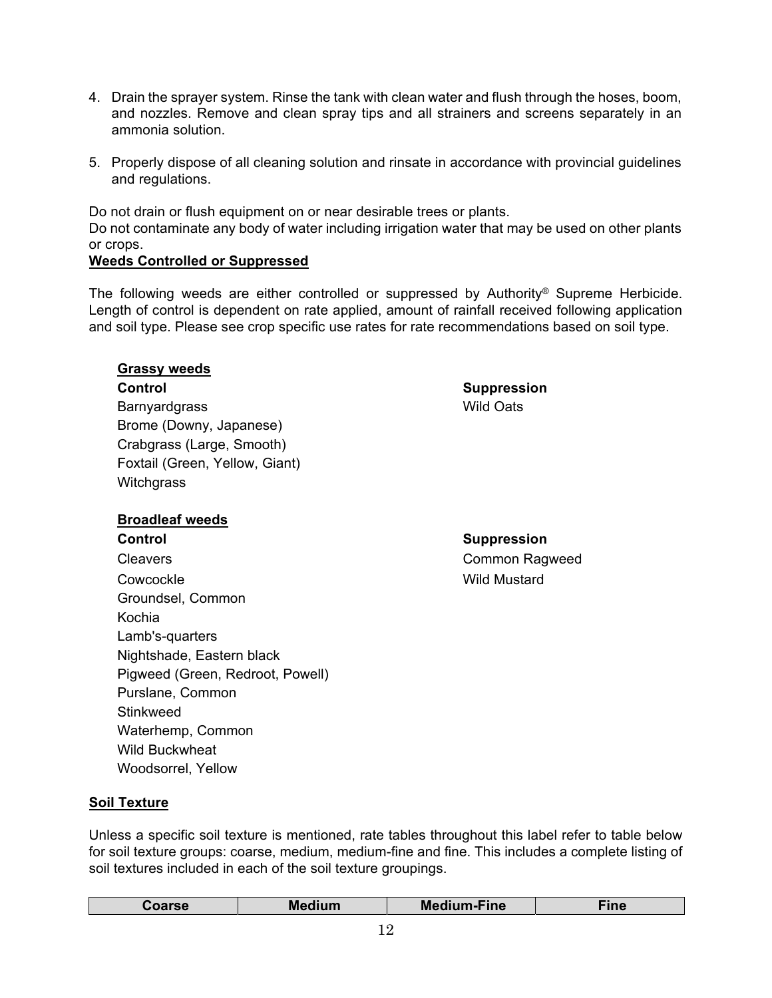- 4. Drain the sprayer system. Rinse the tank with clean water and flush through the hoses, boom, and nozzles. Remove and clean spray tips and all strainers and screens separately in an ammonia solution.
- 5. Properly dispose of all cleaning solution and rinsate in accordance with provincial guidelines and regulations.

Do not drain or flush equipment on or near desirable trees or plants. Do not contaminate any body of water including irrigation water that may be used on other plants or crops.

# **Weeds Controlled or Suppressed**

The following weeds are either controlled or suppressed by Authority® Supreme Herbicide. Length of control is dependent on rate applied, amount of rainfall received following application and soil type. Please see crop specific use rates for rate recommendations based on soil type.

# **Grassy weeds**

#### **Control** Suppression

Barnyardgrass **Barnyardgrass** Wild Oats Brome (Downy, Japanese) Crabgrass (Large, Smooth) Foxtail (Green, Yellow, Giant) **Witchgrass** 

# **Broadleaf weeds**

**Control** Suppression Cleavers Common Ragweed Cowcockle Wild Mustard Groundsel, Common Kochia Lamb's-quarters Nightshade, Eastern black Pigweed (Green, Redroot, Powell) Purslane, Common **Stinkweed** Waterhemp, Common Wild Buckwheat Woodsorrel, Yellow

# **Soil Texture**

Unless a specific soil texture is mentioned, rate tables throughout this label refer to table below for soil texture groups: coarse, medium, medium-fine and fine. This includes a complete listing of soil textures included in each of the soil texture groupings.

| ∶oarse | Medium | <b>Medium-Fine</b> | <b>Time</b><br>тти |
|--------|--------|--------------------|--------------------|
|        |        |                    |                    |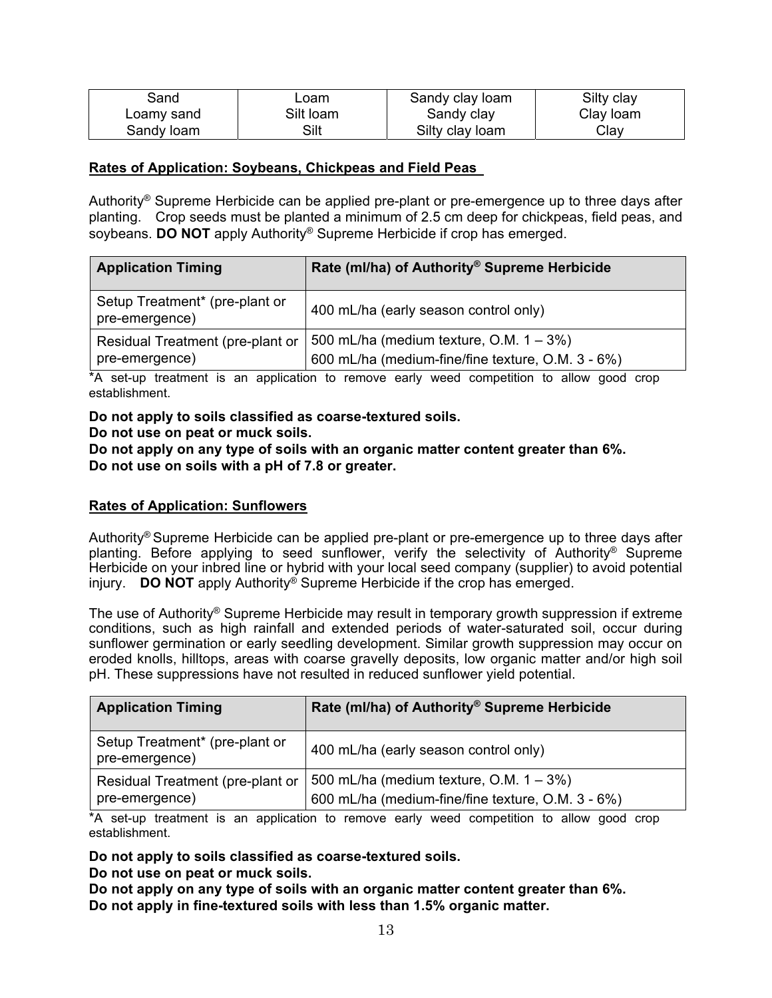| Sand       | Loam      | Sandy clay loam | Silty clay |
|------------|-----------|-----------------|------------|
| Loamy sand | Silt loam | Sandy clay      | Clay loam  |
| Sandy loam | Silt      | Silty clay loam | Clay       |

#### **Rates of Application: Soybeans, Chickpeas and Field Peas**

Authority® Supreme Herbicide can be applied pre-plant or pre-emergence up to three days after planting. Crop seeds must be planted a minimum of 2.5 cm deep for chickpeas, field peas, and soybeans. **DO NOT** apply Authority® Supreme Herbicide if crop has emerged.

| <b>Application Timing</b>                          | Rate (ml/ha) of Authority <sup>®</sup> Supreme Herbicide                                        |
|----------------------------------------------------|-------------------------------------------------------------------------------------------------|
| Setup Treatment* (pre-plant or<br>pre-emergence)   | 400 mL/ha (early season control only)                                                           |
| Residual Treatment (pre-plant or<br>pre-emergence) | 500 mL/ha (medium texture, O.M. $1 - 3\%)$<br>600 mL/ha (medium-fine/fine texture, O.M. 3 - 6%) |

\*A set-up treatment is an application to remove early weed competition to allow good crop establishment.

# **Do not apply to soils classified as coarse-textured soils.**

#### **Do not use on peat or muck soils.**

**Do not apply on any type of soils with an organic matter content greater than 6%. Do not use on soils with a pH of 7.8 or greater.** 

#### **Rates of Application: Sunflowers**

Authority® Supreme Herbicide can be applied pre-plant or pre-emergence up to three days after planting. Before applying to seed sunflower, verify the selectivity of Authority® Supreme Herbicide on your inbred line or hybrid with your local seed company (supplier) to avoid potential injury. **DO NOT** apply Authority® Supreme Herbicide if the crop has emerged.

The use of Authority® Supreme Herbicide may result in temporary growth suppression if extreme conditions, such as high rainfall and extended periods of water-saturated soil, occur during sunflower germination or early seedling development. Similar growth suppression may occur on eroded knolls, hilltops, areas with coarse gravelly deposits, low organic matter and/or high soil pH. These suppressions have not resulted in reduced sunflower yield potential.

| <b>Application Timing</b>                          | Rate (ml/ha) of Authority <sup>®</sup> Supreme Herbicide                                        |
|----------------------------------------------------|-------------------------------------------------------------------------------------------------|
| Setup Treatment* (pre-plant or<br>pre-emergence)   | 400 mL/ha (early season control only)                                                           |
| Residual Treatment (pre-plant or<br>pre-emergence) | 500 mL/ha (medium texture, O.M. $1 - 3\%)$<br>600 mL/ha (medium-fine/fine texture, O.M. 3 - 6%) |

\*A set-up treatment is an application to remove early weed competition to allow good crop establishment.

**Do not apply to soils classified as coarse-textured soils.**

**Do not use on peat or muck soils.** 

**Do not apply on any type of soils with an organic matter content greater than 6%. Do not apply in fine-textured soils with less than 1.5% organic matter.**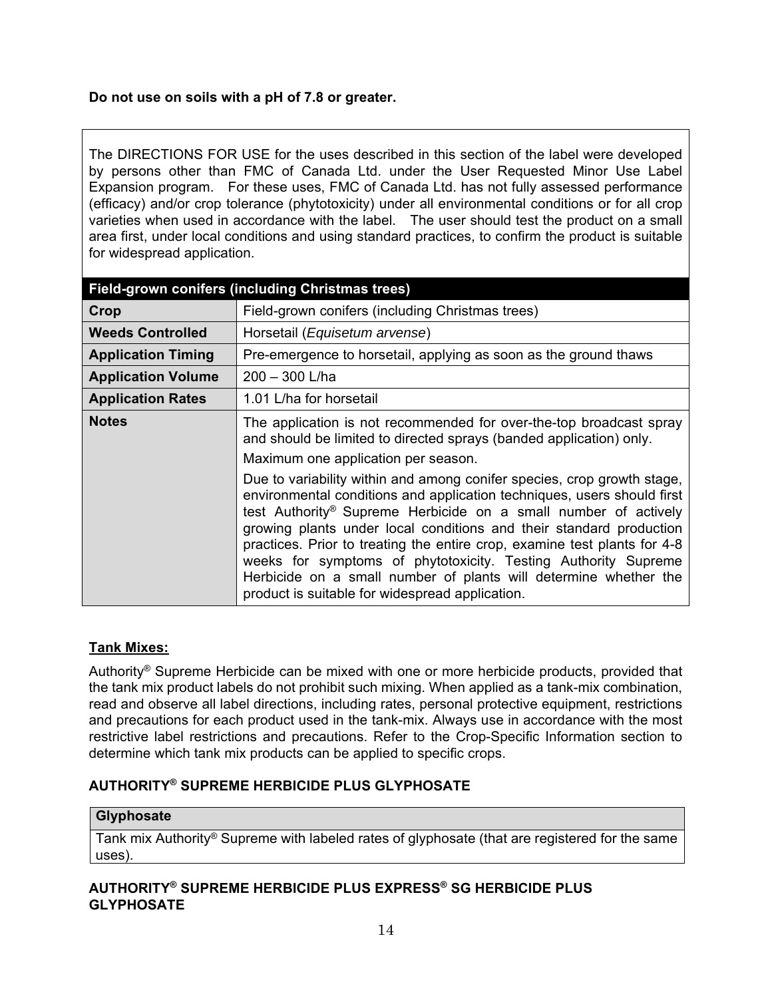# **Do not use on soils with a pH of 7.8 or greater.**

The DIRECTIONS FOR USE for the uses described in this section of the label were developed by persons other than FMC of Canada Ltd. under the User Requested Minor Use Label Expansion program. For these uses, FMC of Canada Ltd. has not fully assessed performance (efficacy) and/or crop tolerance (phytotoxicity) under all environmental conditions or for all crop varieties when used in accordance with the label. The user should test the product on a small area first, under local conditions and using standard practices, to confirm the product is suitable for widespread application.

| Field-grown conifers (including Christmas trees) |                                                                                                                                                                                                                                                                                                                                                                                                                                                                                                                                                                                                                                                                                                                                                                     |  |  |
|--------------------------------------------------|---------------------------------------------------------------------------------------------------------------------------------------------------------------------------------------------------------------------------------------------------------------------------------------------------------------------------------------------------------------------------------------------------------------------------------------------------------------------------------------------------------------------------------------------------------------------------------------------------------------------------------------------------------------------------------------------------------------------------------------------------------------------|--|--|
| Crop                                             | Field-grown conifers (including Christmas trees)                                                                                                                                                                                                                                                                                                                                                                                                                                                                                                                                                                                                                                                                                                                    |  |  |
| <b>Weeds Controlled</b>                          | Horsetail (Equisetum arvense)                                                                                                                                                                                                                                                                                                                                                                                                                                                                                                                                                                                                                                                                                                                                       |  |  |
| <b>Application Timing</b>                        | Pre-emergence to horsetail, applying as soon as the ground thaws                                                                                                                                                                                                                                                                                                                                                                                                                                                                                                                                                                                                                                                                                                    |  |  |
| <b>Application Volume</b>                        | $200 - 300$ L/ha                                                                                                                                                                                                                                                                                                                                                                                                                                                                                                                                                                                                                                                                                                                                                    |  |  |
| <b>Application Rates</b>                         | 1.01 L/ha for horsetail                                                                                                                                                                                                                                                                                                                                                                                                                                                                                                                                                                                                                                                                                                                                             |  |  |
| <b>Notes</b>                                     | The application is not recommended for over-the-top broadcast spray<br>and should be limited to directed sprays (banded application) only.<br>Maximum one application per season.<br>Due to variability within and among conifer species, crop growth stage,<br>environmental conditions and application techniques, users should first<br>test Authority <sup>®</sup> Supreme Herbicide on a small number of actively<br>growing plants under local conditions and their standard production<br>practices. Prior to treating the entire crop, examine test plants for 4-8<br>weeks for symptoms of phytotoxicity. Testing Authority Supreme<br>Herbicide on a small number of plants will determine whether the<br>product is suitable for widespread application. |  |  |

# **Tank Mixes:**

Authority® Supreme Herbicide can be mixed with one or more herbicide products, provided that the tank mix product labels do not prohibit such mixing. When applied as a tank-mix combination, read and observe all label directions, including rates, personal protective equipment, restrictions and precautions for each product used in the tank-mix. Always use in accordance with the most restrictive label restrictions and precautions. Refer to the Crop-Specific Information section to determine which tank mix products can be applied to specific crops.

# **AUTHORITY® SUPREME HERBICIDE PLUS GLYPHOSATE**

#### **Glyphosate**

Tank mix Authority® Supreme with labeled rates of glyphosate (that are registered for the same uses).

# **AUTHORITY® SUPREME HERBICIDE PLUS EXPRESS® SG HERBICIDE PLUS GLYPHOSATE**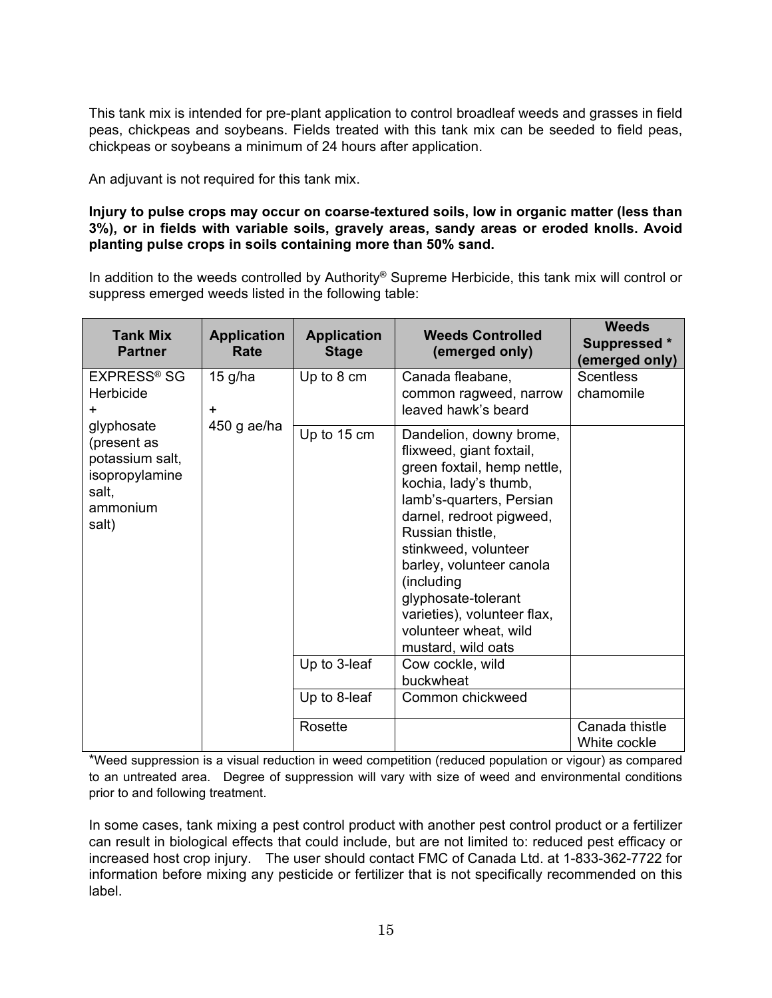This tank mix is intended for pre-plant application to control broadleaf weeds and grasses in field peas, chickpeas and soybeans. Fields treated with this tank mix can be seeded to field peas, chickpeas or soybeans a minimum of 24 hours after application.

An adjuvant is not required for this tank mix.

# **Injury to pulse crops may occur on coarse-textured soils, low in organic matter (less than 3%), or in fields with variable soils, gravely areas, sandy areas or eroded knolls. Avoid planting pulse crops in soils containing more than 50% sand.**

In addition to the weeds controlled by Authority® Supreme Herbicide, this tank mix will control or suppress emerged weeds listed in the following table:

| <b>Tank Mix</b><br><b>Partner</b>                                                            | <b>Application</b><br>Rate | <b>Application</b><br><b>Stage</b> | <b>Weeds Controlled</b><br>(emerged only)                                                                                                                                                                                                                                                                                                                                          | <b>Weeds</b><br>Suppressed *<br>(emerged only) |
|----------------------------------------------------------------------------------------------|----------------------------|------------------------------------|------------------------------------------------------------------------------------------------------------------------------------------------------------------------------------------------------------------------------------------------------------------------------------------------------------------------------------------------------------------------------------|------------------------------------------------|
| <b>EXPRESS<sup>®</sup> SG</b>                                                                | $15$ g/ha                  | Up to 8 cm                         | Canada fleabane,                                                                                                                                                                                                                                                                                                                                                                   | <b>Scentless</b>                               |
| Herbicide                                                                                    |                            |                                    | common ragweed, narrow                                                                                                                                                                                                                                                                                                                                                             | chamomile                                      |
| $\ddot{}$                                                                                    | $\ddot{}$                  |                                    | leaved hawk's beard                                                                                                                                                                                                                                                                                                                                                                |                                                |
| glyphosate<br>(present as<br>potassium salt,<br>isopropylamine<br>salt,<br>ammonium<br>salt) | 450 g ae/ha                | Up to 15 cm<br>Up to 3-leaf        | Dandelion, downy brome,<br>flixweed, giant foxtail,<br>green foxtail, hemp nettle,<br>kochia, lady's thumb,<br>lamb's-quarters, Persian<br>darnel, redroot pigweed,<br>Russian thistle,<br>stinkweed, volunteer<br>barley, volunteer canola<br>(including<br>glyphosate-tolerant<br>varieties), volunteer flax,<br>volunteer wheat, wild<br>mustard, wild oats<br>Cow cockle, wild |                                                |
|                                                                                              |                            |                                    | buckwheat                                                                                                                                                                                                                                                                                                                                                                          |                                                |
|                                                                                              |                            | Up to 8-leaf                       | Common chickweed                                                                                                                                                                                                                                                                                                                                                                   |                                                |
|                                                                                              |                            | Rosette                            |                                                                                                                                                                                                                                                                                                                                                                                    | Canada thistle<br>White cockle                 |

\*Weed suppression is a visual reduction in weed competition (reduced population or vigour) as compared to an untreated area. Degree of suppression will vary with size of weed and environmental conditions prior to and following treatment.

In some cases, tank mixing a pest control product with another pest control product or a fertilizer can result in biological effects that could include, but are not limited to: reduced pest efficacy or increased host crop injury. The user should contact FMC of Canada Ltd. at 1-833-362-7722 for information before mixing any pesticide or fertilizer that is not specifically recommended on this label.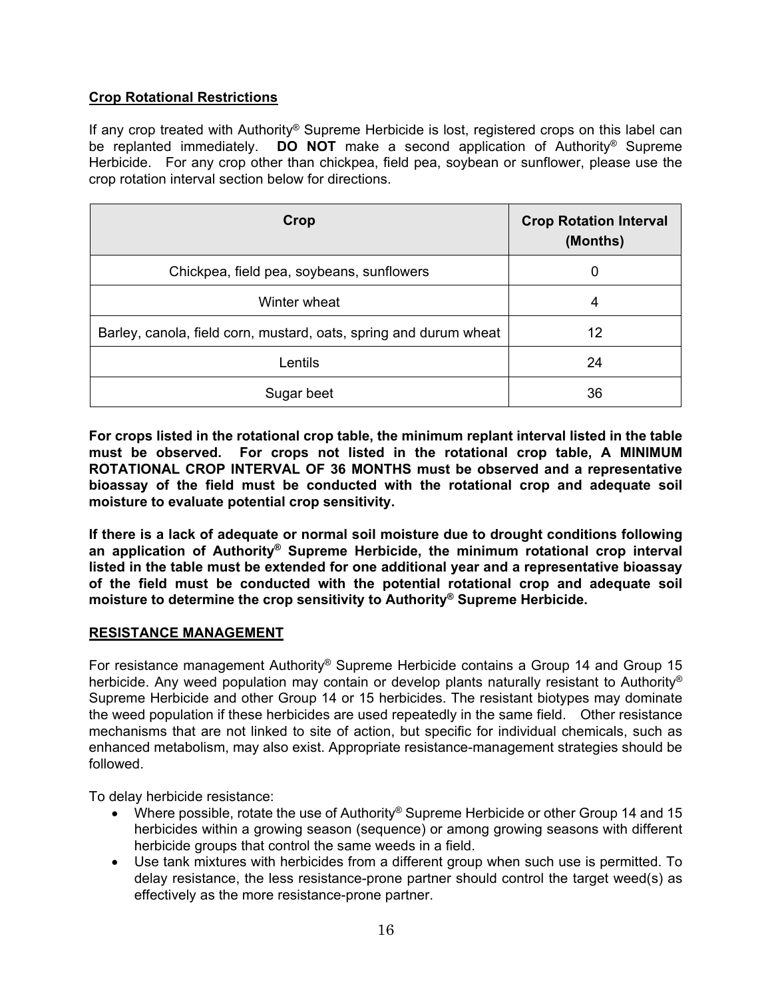# **Crop Rotational Restrictions**

If any crop treated with Authority® Supreme Herbicide is lost, registered crops on this label can be replanted immediately. **DO NOT** make a second application of Authority® Supreme Herbicide. For any crop other than chickpea, field pea, soybean or sunflower, please use the crop rotation interval section below for directions.

| Crop                                                              | <b>Crop Rotation Interval</b><br>(Months) |
|-------------------------------------------------------------------|-------------------------------------------|
| Chickpea, field pea, soybeans, sunflowers                         | 0                                         |
| Winter wheat                                                      | 4                                         |
| Barley, canola, field corn, mustard, oats, spring and durum wheat | 12                                        |
| Lentils                                                           | 24                                        |
| Sugar beet                                                        | 36                                        |

**For crops listed in the rotational crop table, the minimum replant interval listed in the table must be observed. For crops not listed in the rotational crop table, A MINIMUM ROTATIONAL CROP INTERVAL OF 36 MONTHS must be observed and a representative bioassay of the field must be conducted with the rotational crop and adequate soil moisture to evaluate potential crop sensitivity.** 

**If there is a lack of adequate or normal soil moisture due to drought conditions following an application of Authority® Supreme Herbicide, the minimum rotational crop interval listed in the table must be extended for one additional year and a representative bioassay of the field must be conducted with the potential rotational crop and adequate soil moisture to determine the crop sensitivity to Authority® Supreme Herbicide.** 

# **RESISTANCE MANAGEMENT**

For resistance management Authority® Supreme Herbicide contains a Group 14 and Group 15 herbicide. Any weed population may contain or develop plants naturally resistant to Authority<sup>®</sup> Supreme Herbicide and other Group 14 or 15 herbicides. The resistant biotypes may dominate the weed population if these herbicides are used repeatedly in the same field. Other resistance mechanisms that are not linked to site of action, but specific for individual chemicals, such as enhanced metabolism, may also exist. Appropriate resistance-management strategies should be followed.

To delay herbicide resistance:

- Where possible, rotate the use of Authority<sup>®</sup> Supreme Herbicide or other Group 14 and 15 herbicides within a growing season (sequence) or among growing seasons with different herbicide groups that control the same weeds in a field.
- Use tank mixtures with herbicides from a different group when such use is permitted. To delay resistance, the less resistance-prone partner should control the target weed(s) as effectively as the more resistance-prone partner.